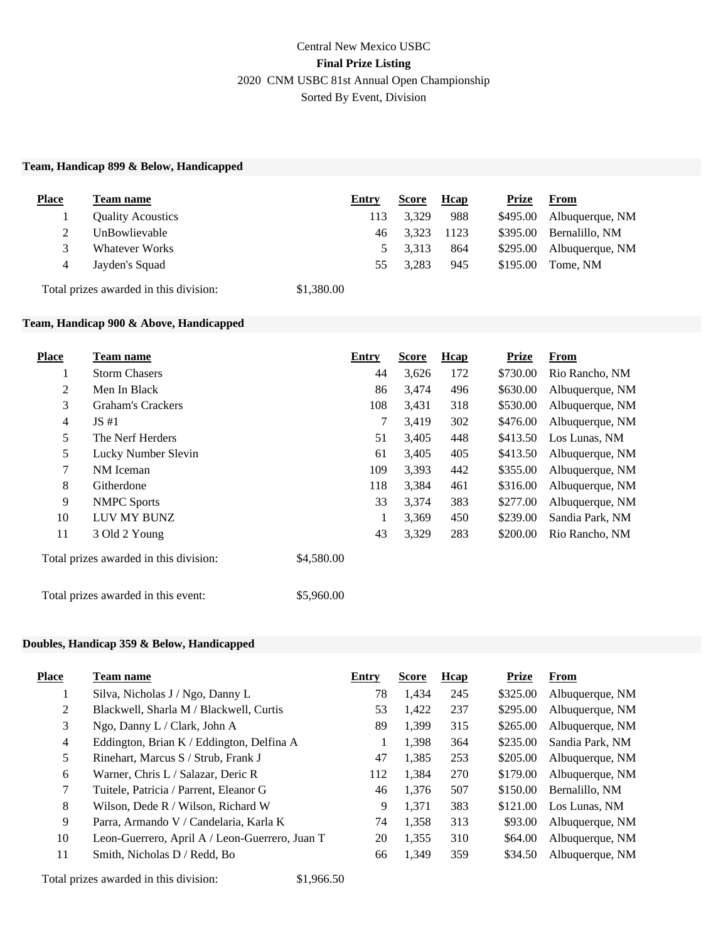## **Team, Handicap 899 & Below, Handicapped**

| <b>Place</b> | Team name                | Entry | <b>Score</b> | <b>H</b> cap | Prize    | From                     |
|--------------|--------------------------|-------|--------------|--------------|----------|--------------------------|
|              | <b>Quality Acoustics</b> | 113   | 3.329        | 988          |          | \$495.00 Albuquerque, NM |
|              | UnBowlievable            | 46    | 3.323        | 1123         | \$395.00 | Bernalillo, NM           |
|              | Whatever Works           |       | 3.313        | 864          |          | \$295.00 Albuquerque, NM |
| 4            | Jayden's Squad           | 55    | 3.283        | 945          | \$195.00 | Tome, NM                 |

Total prizes awarded in this division: \$1,380.00

## **Team, Handicap 900 & Above, Handicapped**

| <b>Place</b>   | <b>Team name</b>                       | Entry      |    | <b>Score</b> | Hcap | <b>Prize</b> | <b>From</b>     |
|----------------|----------------------------------------|------------|----|--------------|------|--------------|-----------------|
| $\perp$        | <b>Storm Chasers</b>                   |            | 44 | 3,626        | 172  | \$730.00     | Rio Rancho, NM  |
| 2              | Men In Black                           |            | 86 | 3,474        | 496  | \$630.00     | Albuquerque, NM |
| 3              | <b>Graham's Crackers</b>               | 108        |    | 3,431        | 318  | \$530.00     | Albuquerque, NM |
| $\overline{4}$ | JS#1                                   |            | 7  | 3,419        | 302  | \$476.00     | Albuquerque, NM |
| 5              | The Nerf Herders                       |            | 51 | 3,405        | 448  | \$413.50     | Los Lunas, NM   |
| 5              | Lucky Number Slevin                    |            | 61 | 3,405        | 405  | \$413.50     | Albuquerque, NM |
| 7              | NM Iceman                              | 109        |    | 3,393        | 442  | \$355.00     | Albuquerque, NM |
| 8              | Githerdone                             | 118        |    | 3,384        | 461  | \$316.00     | Albuquerque, NM |
| 9              | <b>NMPC</b> Sports                     |            | 33 | 3,374        | 383  | \$277.00     | Albuquerque, NM |
| 10             | LUV MY BUNZ                            |            |    | 3,369        | 450  | \$239.00     | Sandia Park, NM |
| 11             | 3 Old 2 Young                          |            | 43 | 3,329        | 283  | \$200.00     | Rio Rancho, NM  |
|                | Total prizes awarded in this division: | \$4,580.00 |    |              |      |              |                 |

Total prizes awarded in this event: \$5,960.00

## **Doubles, Handicap 359 & Below, Handicapped**

| <b>Place</b>   | <b>Team name</b>                               | Entry | <b>Score</b> | Hcap | <b>Prize</b> | From            |
|----------------|------------------------------------------------|-------|--------------|------|--------------|-----------------|
|                | Silva, Nicholas J / Ngo, Danny L               | 78    | 1.434        | 245  | \$325.00     | Albuquerque, NM |
| 2              | Blackwell, Sharla M / Blackwell, Curtis        | 53    | 1.422        | 237  | \$295.00     | Albuquerque, NM |
| 3              | Ngo, Danny L / Clark, John A                   | 89    | 1.399        | 315  | \$265.00     | Albuquerque, NM |
| $\overline{4}$ | Eddington, Brian K / Eddington, Delfina A      |       | 1,398        | 364  | \$235.00     | Sandia Park, NM |
| 5              | Rinehart, Marcus S / Strub, Frank J            | 47    | 1,385        | 253  | \$205.00     | Albuquerque, NM |
| 6              | Warner, Chris L / Salazar, Deric R             | 112   | 1,384        | 270  | \$179.00     | Albuquerque, NM |
| $\tau$         | Tuitele, Patricia / Parrent, Eleanor G         | 46    | 1.376        | 507  | \$150.00     | Bernalillo, NM  |
| 8              | Wilson, Dede R / Wilson, Richard W             | 9     | 1.371        | 383  | \$121.00     | Los Lunas, NM   |
| 9              | Parra, Armando V / Candelaria, Karla K         | 74    | 1,358        | 313  | \$93.00      | Albuquerque, NM |
| 10             | Leon-Guerrero, April A / Leon-Guerrero, Juan T | 20    | 1.355        | 310  | \$64.00      | Albuquerque, NM |
| 11             | Smith, Nicholas D / Redd, Bo                   | 66    | 1.349        | 359  | \$34.50      | Albuquerque, NM |

Total prizes awarded in this division: \$1,966.50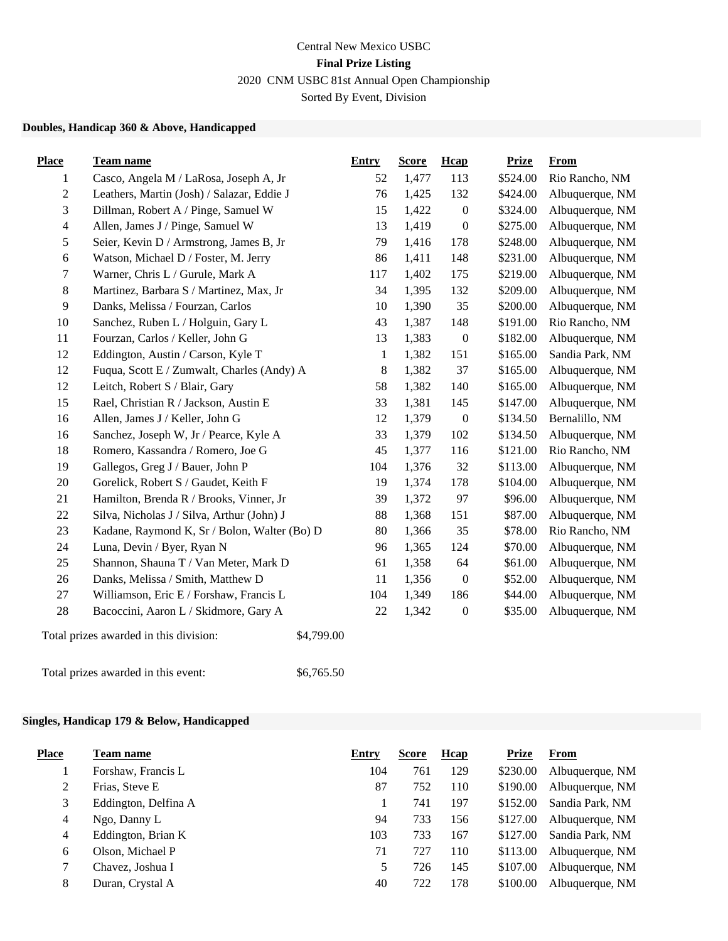## **Doubles, Handicap 360 & Above, Handicapped**

| <b>Place</b>            | Team name                                            | <b>Entry</b> | <b>Score</b> | Hcap             | <b>Prize</b> | <b>From</b>     |
|-------------------------|------------------------------------------------------|--------------|--------------|------------------|--------------|-----------------|
| 1                       | Casco, Angela M / LaRosa, Joseph A, Jr               | 52           | 1,477        | 113              | \$524.00     | Rio Rancho, NM  |
| $\mathbf{2}$            | Leathers, Martin (Josh) / Salazar, Eddie J           | 76           | 1,425        | 132              | \$424.00     | Albuquerque, NM |
| 3                       | Dillman, Robert A / Pinge, Samuel W                  | 15           | 1,422        | $\boldsymbol{0}$ | \$324.00     | Albuquerque, NM |
| $\overline{\mathbf{4}}$ | Allen, James J / Pinge, Samuel W                     | 13           | 1,419        | $\boldsymbol{0}$ | \$275.00     | Albuquerque, NM |
| 5                       | Seier, Kevin D / Armstrong, James B, Jr              | 79           | 1,416        | 178              | \$248.00     | Albuquerque, NM |
| 6                       | Watson, Michael D / Foster, M. Jerry                 | 86           | 1,411        | 148              | \$231.00     | Albuquerque, NM |
| 7                       | Warner, Chris L / Gurule, Mark A                     | 117          | 1,402        | 175              | \$219.00     | Albuquerque, NM |
| 8                       | Martinez, Barbara S / Martinez, Max, Jr              | 34           | 1,395        | 132              | \$209.00     | Albuquerque, NM |
| 9                       | Danks, Melissa / Fourzan, Carlos                     | 10           | 1,390        | 35               | \$200.00     | Albuquerque, NM |
| 10                      | Sanchez, Ruben L / Holguin, Gary L                   | 43           | 1,387        | 148              | \$191.00     | Rio Rancho, NM  |
| 11                      | Fourzan, Carlos / Keller, John G                     | 13           | 1,383        | $\boldsymbol{0}$ | \$182.00     | Albuquerque, NM |
| 12                      | Eddington, Austin / Carson, Kyle T                   | $\mathbf{1}$ | 1,382        | 151              | \$165.00     | Sandia Park, NM |
| 12                      | Fuqua, Scott E / Zumwalt, Charles (Andy) A           | 8            | 1,382        | 37               | \$165.00     | Albuquerque, NM |
| 12                      | Leitch, Robert S / Blair, Gary                       | 58           | 1,382        | 140              | \$165.00     | Albuquerque, NM |
| 15                      | Rael, Christian R / Jackson, Austin E                | 33           | 1,381        | 145              | \$147.00     | Albuquerque, NM |
| 16                      | Allen, James J / Keller, John G                      | 12           | 1,379        | $\boldsymbol{0}$ | \$134.50     | Bernalillo, NM  |
| 16                      | Sanchez, Joseph W, Jr / Pearce, Kyle A               | 33           | 1,379        | 102              | \$134.50     | Albuquerque, NM |
| 18                      | Romero, Kassandra / Romero, Joe G                    | 45           | 1,377        | 116              | \$121.00     | Rio Rancho, NM  |
| 19                      | Gallegos, Greg J / Bauer, John P                     | 104          | 1,376        | 32               | \$113.00     | Albuquerque, NM |
| 20                      | Gorelick, Robert S / Gaudet, Keith F                 | 19           | 1,374        | 178              | \$104.00     | Albuquerque, NM |
| 21                      | Hamilton, Brenda R / Brooks, Vinner, Jr              | 39           | 1,372        | 97               | \$96.00      | Albuquerque, NM |
| 22                      | Silva, Nicholas J / Silva, Arthur (John) J           | 88           | 1,368        | 151              | \$87.00      | Albuquerque, NM |
| 23                      | Kadane, Raymond K, Sr / Bolon, Walter (Bo) D         | 80           | 1,366        | 35               | \$78.00      | Rio Rancho, NM  |
| 24                      | Luna, Devin / Byer, Ryan N                           | 96           | 1,365        | 124              | \$70.00      | Albuquerque, NM |
| 25                      | Shannon, Shauna T / Van Meter, Mark D                | 61           | 1,358        | 64               | \$61.00      | Albuquerque, NM |
| 26                      | Danks, Melissa / Smith, Matthew D                    | 11           | 1,356        | $\boldsymbol{0}$ | \$52.00      | Albuquerque, NM |
| 27                      | Williamson, Eric E / Forshaw, Francis L              | 104          | 1,349        | 186              | \$44.00      | Albuquerque, NM |
| 28                      | Bacoccini, Aaron L / Skidmore, Gary A                | 22           | 1,342        | $\boldsymbol{0}$ | \$35.00      | Albuquerque, NM |
|                         | \$4,799.00<br>Total prizes awarded in this division: |              |              |                  |              |                 |

Total prizes awarded in this event:  $$6,765.50$ 

## **Singles, Handicap 179 & Below, Handicapped**

| <b>Place</b> | <b>Team name</b>     | <b>Entry</b> | <b>Score</b> | Hcap | <b>Prize</b> | <b>From</b>     |
|--------------|----------------------|--------------|--------------|------|--------------|-----------------|
|              | Forshaw, Francis L   | 104          | 761          | 129  | \$230.00     | Albuquerque, NM |
| 2            | Frias, Steve E       | 87           | 752          | 110  | \$190.00     | Albuquerque, NM |
| 3            | Eddington, Delfina A |              | 741          | 197  | \$152.00     | Sandia Park, NM |
| 4            | Ngo, Danny L         | 94           | 733          | 156  | \$127.00     | Albuquerque, NM |
| 4            | Eddington, Brian K   | 103          | 733          | 167  | \$127.00     | Sandia Park, NM |
| 6            | Olson, Michael P     | 71           | 727          | 110  | \$113.00     | Albuquerque, NM |
| 7            | Chavez, Joshua I     | 5            | 726          | 145  | \$107.00     | Albuquerque, NM |
| 8            | Duran, Crystal A     | 40           | 722          | 178  | \$100.00     | Albuquerque, NM |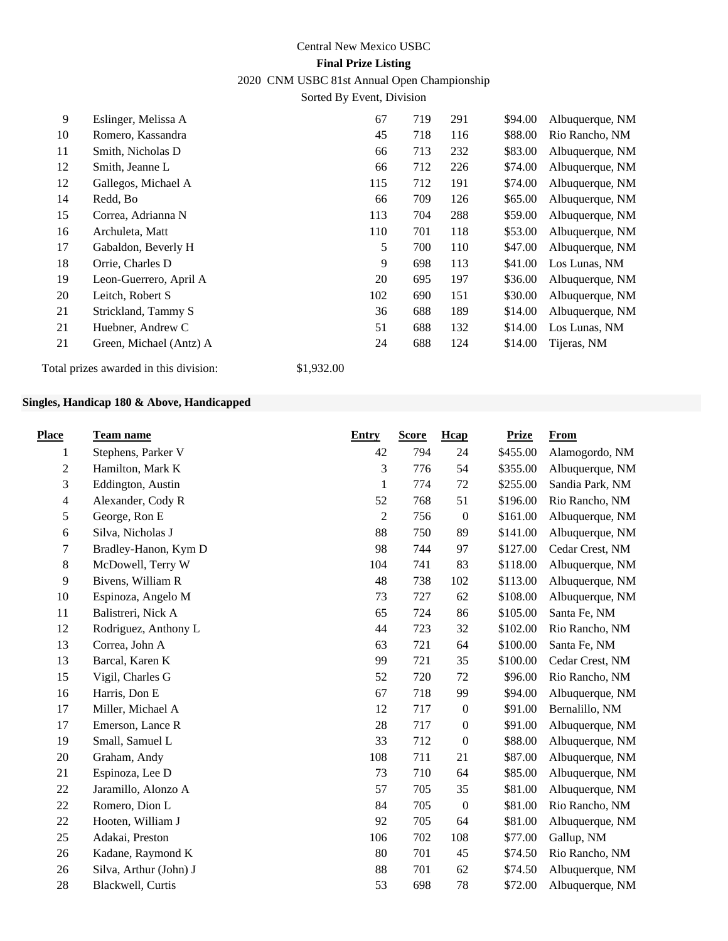# Central New Mexico USBC **Final Prize Listing** 2020 CNM USBC 81st Annual Open Championship

Sorted By Event, Division

| 9  | Eslinger, Melissa A     | 67  | 719 | 291 | \$94.00 | Albuquerque, NM |
|----|-------------------------|-----|-----|-----|---------|-----------------|
| 10 | Romero, Kassandra       | 45  | 718 | 116 | \$88.00 | Rio Rancho, NM  |
| 11 | Smith, Nicholas D       | 66  | 713 | 232 | \$83.00 | Albuquerque, NM |
| 12 | Smith, Jeanne L         | 66  | 712 | 226 | \$74.00 | Albuquerque, NM |
| 12 | Gallegos, Michael A     | 115 | 712 | 191 | \$74.00 | Albuquerque, NM |
| 14 | Redd, Bo                | 66  | 709 | 126 | \$65.00 | Albuquerque, NM |
| 15 | Correa, Adrianna N      | 113 | 704 | 288 | \$59.00 | Albuquerque, NM |
| 16 | Archuleta, Matt         | 110 | 701 | 118 | \$53.00 | Albuquerque, NM |
| 17 | Gabaldon, Beverly H     | 5   | 700 | 110 | \$47.00 | Albuquerque, NM |
| 18 | Orrie, Charles D        | 9   | 698 | 113 | \$41.00 | Los Lunas, NM   |
| 19 | Leon-Guerrero, April A  | 20  | 695 | 197 | \$36.00 | Albuquerque, NM |
| 20 | Leitch, Robert S        | 102 | 690 | 151 | \$30.00 | Albuquerque, NM |
| 21 | Strickland, Tammy S     | 36  | 688 | 189 | \$14.00 | Albuquerque, NM |
| 21 | Huebner, Andrew C       | 51  | 688 | 132 | \$14.00 | Los Lunas, NM   |
| 21 | Green, Michael (Antz) A | 24  | 688 | 124 | \$14.00 | Tijeras, NM     |
|    |                         |     |     |     |         |                 |

Total prizes awarded in this division: \$1,932.00

## **Singles, Handicap 180 & Above, Handicapped**

| <b>Place</b>   | <b>Team name</b>       | <b>Entry</b>   | <b>Score</b> | Hcap             | <b>Prize</b> | From            |
|----------------|------------------------|----------------|--------------|------------------|--------------|-----------------|
| 1              | Stephens, Parker V     | 42             | 794          | 24               | \$455.00     | Alamogordo, NM  |
| $\overline{c}$ | Hamilton, Mark K       | 3              | 776          | 54               | \$355.00     | Albuquerque, NM |
| 3              | Eddington, Austin      | 1              | 774          | 72               | \$255.00     | Sandia Park, NM |
| 4              | Alexander, Cody R      | 52             | 768          | 51               | \$196.00     | Rio Rancho, NM  |
| 5              | George, Ron E          | $\overline{2}$ | 756          | $\boldsymbol{0}$ | \$161.00     | Albuquerque, NM |
| 6              | Silva, Nicholas J      | 88             | 750          | 89               | \$141.00     | Albuquerque, NM |
| 7              | Bradley-Hanon, Kym D   | 98             | 744          | 97               | \$127.00     | Cedar Crest, NM |
| $\,8\,$        | McDowell, Terry W      | 104            | 741          | 83               | \$118.00     | Albuquerque, NM |
| $\overline{9}$ | Bivens, William R      | 48             | 738          | 102              | \$113.00     | Albuquerque, NM |
| 10             | Espinoza, Angelo M     | 73             | 727          | 62               | \$108.00     | Albuquerque, NM |
| 11             | Balistreri, Nick A     | 65             | 724          | 86               | \$105.00     | Santa Fe, NM    |
| 12             | Rodriguez, Anthony L   | 44             | 723          | 32               | \$102.00     | Rio Rancho, NM  |
| 13             | Correa, John A         | 63             | 721          | 64               | \$100.00     | Santa Fe, NM    |
| 13             | Barcal, Karen K        | 99             | 721          | 35               | \$100.00     | Cedar Crest, NM |
| 15             | Vigil, Charles G       | 52             | 720          | 72               | \$96.00      | Rio Rancho, NM  |
| 16             | Harris, Don E          | 67             | 718          | 99               | \$94.00      | Albuquerque, NM |
| 17             | Miller, Michael A      | 12             | 717          | $\boldsymbol{0}$ | \$91.00      | Bernalillo, NM  |
| 17             | Emerson, Lance R       | 28             | 717          | $\boldsymbol{0}$ | \$91.00      | Albuquerque, NM |
| 19             | Small, Samuel L        | 33             | 712          | $\boldsymbol{0}$ | \$88.00      | Albuquerque, NM |
| 20             | Graham, Andy           | 108            | 711          | 21               | \$87.00      | Albuquerque, NM |
| 21             | Espinoza, Lee D        | 73             | 710          | 64               | \$85.00      | Albuquerque, NM |
| 22             | Jaramillo, Alonzo A    | 57             | 705          | 35               | \$81.00      | Albuquerque, NM |
| 22             | Romero, Dion L         | 84             | 705          | $\boldsymbol{0}$ | \$81.00      | Rio Rancho, NM  |
| 22             | Hooten, William J      | 92             | 705          | 64               | \$81.00      | Albuquerque, NM |
| 25             | Adakai, Preston        | 106            | 702          | 108              | \$77.00      | Gallup, NM      |
| 26             | Kadane, Raymond K      | 80             | 701          | 45               | \$74.50      | Rio Rancho, NM  |
| 26             | Silva, Arthur (John) J | 88             | 701          | 62               | \$74.50      | Albuquerque, NM |
| 28             | Blackwell, Curtis      | 53             | 698          | 78               | \$72.00      | Albuquerque, NM |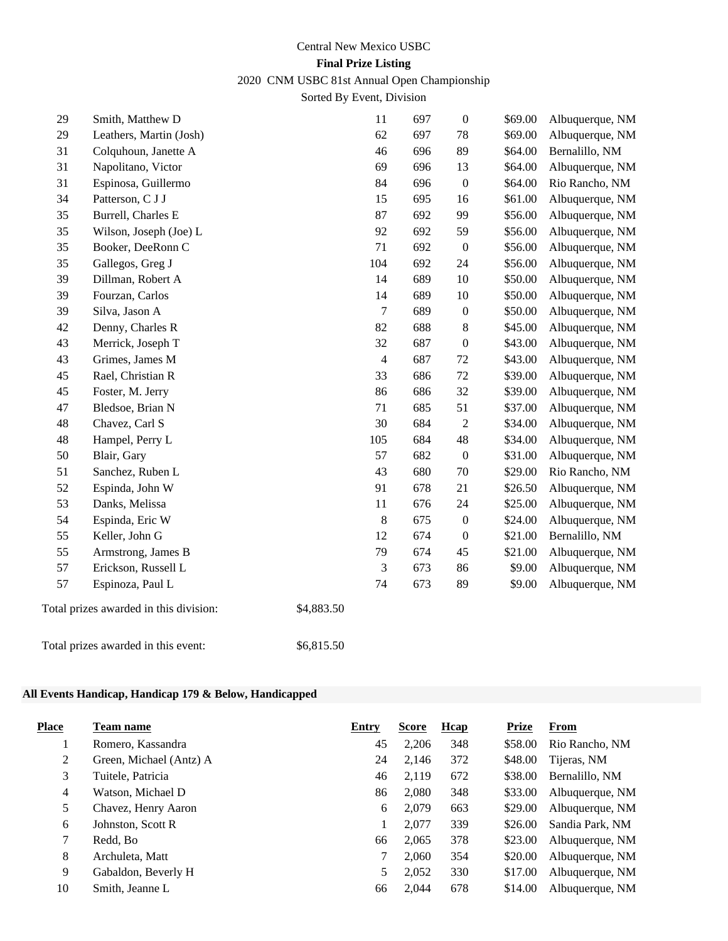## Central New Mexico USBC **Final Prize Listing**

# 2020 CNM USBC 81st Annual Open Championship

Sorted By Event, Division

| 29     | Smith, Matthew D                       |            | 11             | 697 | $\boldsymbol{0}$ | \$69.00 | Albuquerque, NM |
|--------|----------------------------------------|------------|----------------|-----|------------------|---------|-----------------|
| 29     | Leathers, Martin (Josh)                |            | 62             | 697 | 78               | \$69.00 | Albuquerque, NM |
| 31     | Colquhoun, Janette A                   |            | 46             | 696 | 89               | \$64.00 | Bernalillo, NM  |
| 31     | Napolitano, Victor                     |            | 69             | 696 | 13               | \$64.00 | Albuquerque, NM |
| 31     | Espinosa, Guillermo                    |            | 84             | 696 | $\boldsymbol{0}$ | \$64.00 | Rio Rancho, NM  |
| 34     | Patterson, C J J                       |            | 15             | 695 | 16               | \$61.00 | Albuquerque, NM |
| 35     | Burrell, Charles E                     |            | 87             | 692 | 99               | \$56.00 | Albuquerque, NM |
| 35     | Wilson, Joseph (Joe) L                 |            | 92             | 692 | 59               | \$56.00 | Albuquerque, NM |
| 35     | Booker, DeeRonn C                      |            | 71             | 692 | $\boldsymbol{0}$ | \$56.00 | Albuquerque, NM |
| 35     | Gallegos, Greg J                       |            | 104            | 692 | 24               | \$56.00 | Albuquerque, NM |
| 39     | Dillman, Robert A                      |            | 14             | 689 | 10               | \$50.00 | Albuquerque, NM |
| 39     | Fourzan, Carlos                        |            | 14             | 689 | 10               | \$50.00 | Albuquerque, NM |
| 39     | Silva, Jason A                         |            | $\overline{7}$ | 689 | $\boldsymbol{0}$ | \$50.00 | Albuquerque, NM |
| 42     | Denny, Charles R                       |            | 82             | 688 | $\,8\,$          | \$45.00 | Albuquerque, NM |
| 43     | Merrick, Joseph T                      |            | 32             | 687 | $\boldsymbol{0}$ | \$43.00 | Albuquerque, NM |
| 43     | Grimes, James M                        |            | $\overline{4}$ | 687 | $72\,$           | \$43.00 | Albuquerque, NM |
| 45     | Rael, Christian R                      |            | 33             | 686 | $72\,$           | \$39.00 | Albuquerque, NM |
| 45     | Foster, M. Jerry                       |            | 86             | 686 | 32               | \$39.00 | Albuquerque, NM |
| $47\,$ | Bledsoe, Brian N                       |            | 71             | 685 | 51               | \$37.00 | Albuquerque, NM |
| 48     | Chavez, Carl S                         |            | 30             | 684 | $\sqrt{2}$       | \$34.00 | Albuquerque, NM |
| 48     | Hampel, Perry L                        |            | 105            | 684 | $\sqrt{48}$      | \$34.00 | Albuquerque, NM |
| 50     | Blair, Gary                            |            | 57             | 682 | $\boldsymbol{0}$ | \$31.00 | Albuquerque, NM |
| 51     | Sanchez, Ruben L                       |            | 43             | 680 | 70               | \$29.00 | Rio Rancho, NM  |
| 52     | Espinda, John W                        |            | 91             | 678 | 21               | \$26.50 | Albuquerque, NM |
| 53     | Danks, Melissa                         |            | 11             | 676 | 24               | \$25.00 | Albuquerque, NM |
| 54     | Espinda, Eric W                        |            | 8              | 675 | $\boldsymbol{0}$ | \$24.00 | Albuquerque, NM |
| 55     | Keller, John G                         |            | 12             | 674 | $\boldsymbol{0}$ | \$21.00 | Bernalillo, NM  |
| 55     | Armstrong, James B                     |            | 79             | 674 | 45               | \$21.00 | Albuquerque, NM |
| 57     | Erickson, Russell L                    |            | 3              | 673 | 86               | \$9.00  | Albuquerque, NM |
| 57     | Espinoza, Paul L                       |            | 74             | 673 | 89               | \$9.00  | Albuquerque, NM |
|        | Total prizes awarded in this division: | \$4,883.50 |                |     |                  |         |                 |
|        | Total prizes awarded in this event:    | \$6,815.50 |                |     |                  |         |                 |

## **All Events Handicap, Handicap 179 & Below, Handicapped**

| <b>Place</b> | Team name               | Entry | Score | Hcap | <b>Prize</b> | <b>From</b>     |
|--------------|-------------------------|-------|-------|------|--------------|-----------------|
|              | Romero, Kassandra       | 45    | 2,206 | 348  | \$58.00      | Rio Rancho, NM  |
| 2            | Green, Michael (Antz) A | 24    | 2,146 | 372  | \$48.00      | Tijeras, NM     |
| 3            | Tuitele, Patricia       | 46    | 2,119 | 672  | \$38.00      | Bernalillo, NM  |
| 4            | Watson, Michael D       | 86    | 2,080 | 348  | \$33.00      | Albuquerque, NM |
| 5            | Chavez, Henry Aaron     | 6     | 2.079 | 663  | \$29.00      | Albuquerque, NM |
| 6            | Johnston, Scott R       |       | 2,077 | 339  | \$26.00      | Sandia Park, NM |
| $\tau$       | Redd, Bo                | 66    | 2,065 | 378  | \$23.00      | Albuquerque, NM |
| 8            | Archuleta, Matt         |       | 2.060 | 354  | \$20.00      | Albuquerque, NM |
| 9            | Gabaldon, Beverly H     | 5     | 2,052 | 330  | \$17.00      | Albuquerque, NM |
| 10           | Smith, Jeanne L         | 66    | 2,044 | 678  | \$14.00      | Albuquerque, NM |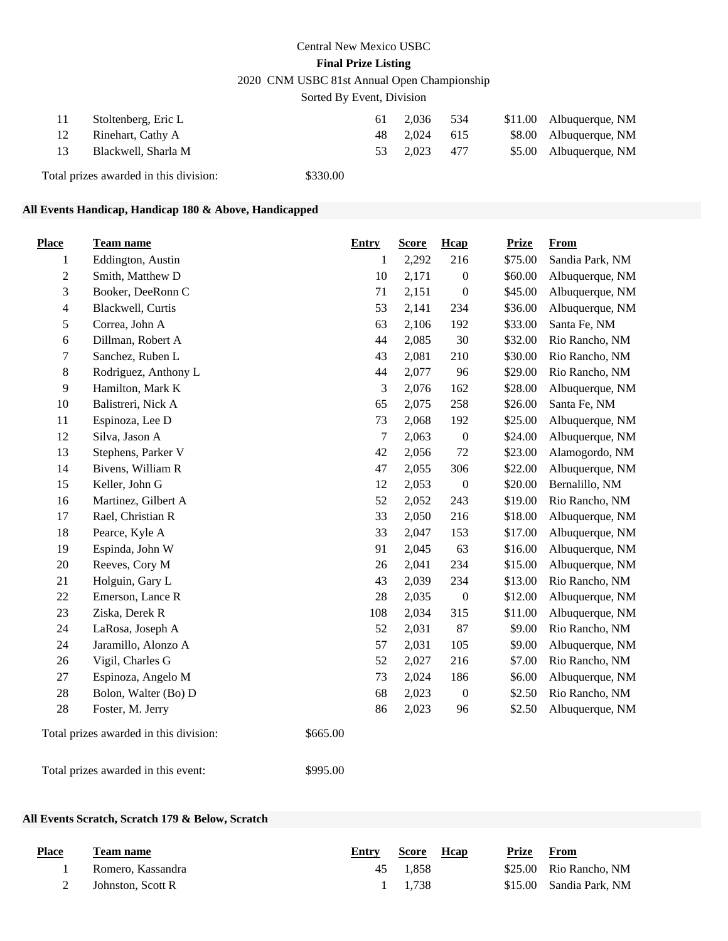# Central New Mexico USBC **Final Prize Listing** 2020 CNM USBC 81st Annual Open Championship

Sorted By Event, Division

| 11 | Stoltenberg, Eric L                    |          | 61  | 2.036 | -534 | $$11.00$ Albuquerque, NM |
|----|----------------------------------------|----------|-----|-------|------|--------------------------|
| 12 | Rinehart, Cathy A                      |          | 48. | 2.024 | 615  | \$8.00 Albuquerque, NM   |
| 13 | Blackwell, Sharla M                    |          | 53  | 2.023 | 477  | \$5.00 Albuquerque, NM   |
|    | Total prizes awarded in this division: | \$330.00 |     |       |      |                          |

## **All Events Handicap, Handicap 180 & Above, Handicapped**

| <b>Place</b>   | <b>Team name</b>                                   | <b>Entry</b>     | <b>Score</b> | Hcap             | <b>Prize</b> | <b>From</b>     |
|----------------|----------------------------------------------------|------------------|--------------|------------------|--------------|-----------------|
| $\mathbf{1}$   | Eddington, Austin                                  | $\mathbf{1}$     | 2,292        | 216              | \$75.00      | Sandia Park, NM |
| $\overline{c}$ | Smith, Matthew D                                   | 10               | 2,171        | $\boldsymbol{0}$ | \$60.00      | Albuquerque, NM |
| 3              | Booker, DeeRonn C                                  | 71               | 2,151        | $\boldsymbol{0}$ | \$45.00      | Albuquerque, NM |
| $\overline{4}$ | Blackwell, Curtis                                  | 53               | 2,141        | 234              | \$36.00      | Albuquerque, NM |
| 5              | Correa, John A                                     | 63               | 2,106        | 192              | \$33.00      | Santa Fe, NM    |
| 6              | Dillman, Robert A                                  | 44               | 2,085        | 30               | \$32.00      | Rio Rancho, NM  |
| 7              | Sanchez, Ruben L                                   | 43               | 2,081        | 210              | \$30.00      | Rio Rancho, NM  |
| $8\,$          | Rodriguez, Anthony L                               | 44               | 2,077        | 96               | \$29.00      | Rio Rancho, NM  |
| $\overline{9}$ | Hamilton, Mark K                                   | 3                | 2,076        | 162              | \$28.00      | Albuquerque, NM |
| 10             | Balistreri, Nick A                                 | 65               | 2,075        | 258              | \$26.00      | Santa Fe, NM    |
| 11             | Espinoza, Lee D                                    | 73               | 2,068        | 192              | \$25.00      | Albuquerque, NM |
| 12             | Silva, Jason A                                     | $\boldsymbol{7}$ | 2,063        | $\boldsymbol{0}$ | \$24.00      | Albuquerque, NM |
| 13             | Stephens, Parker V                                 | 42               | 2,056        | $72\,$           | \$23.00      | Alamogordo, NM  |
| 14             | Bivens, William R                                  | 47               | 2,055        | 306              | \$22.00      | Albuquerque, NM |
| 15             | Keller, John G                                     | 12               | 2,053        | $\boldsymbol{0}$ | \$20.00      | Bernalillo, NM  |
| 16             | Martinez, Gilbert A                                | 52               | 2,052        | 243              | \$19.00      | Rio Rancho, NM  |
| 17             | Rael, Christian R                                  | 33               | 2,050        | 216              | \$18.00      | Albuquerque, NM |
| 18             | Pearce, Kyle A                                     | 33               | 2,047        | 153              | \$17.00      | Albuquerque, NM |
| 19             | Espinda, John W                                    | 91               | 2,045        | 63               | \$16.00      | Albuquerque, NM |
| 20             | Reeves, Cory M                                     | 26               | 2,041        | 234              | \$15.00      | Albuquerque, NM |
| 21             | Holguin, Gary L                                    | 43               | 2,039        | 234              | \$13.00      | Rio Rancho, NM  |
| 22             | Emerson, Lance R                                   | 28               | 2,035        | $\boldsymbol{0}$ | \$12.00      | Albuquerque, NM |
| 23             | Ziska, Derek R                                     | 108              | 2,034        | 315              | \$11.00      | Albuquerque, NM |
| 24             | LaRosa, Joseph A                                   | 52               | 2,031        | 87               | \$9.00       | Rio Rancho, NM  |
| 24             | Jaramillo, Alonzo A                                | 57               | 2,031        | 105              | \$9.00       | Albuquerque, NM |
| 26             | Vigil, Charles G                                   | 52               | 2,027        | 216              | \$7.00       | Rio Rancho, NM  |
| 27             | Espinoza, Angelo M                                 | 73               | 2,024        | 186              | \$6.00       | Albuquerque, NM |
| 28             | Bolon, Walter (Bo) D                               | 68               | 2,023        | $\boldsymbol{0}$ | \$2.50       | Rio Rancho, NM  |
| $28\,$         | Foster, M. Jerry                                   | 86               | 2,023        | 96               | \$2.50       | Albuquerque, NM |
|                | \$665.00<br>Total prizes awarded in this division: |                  |              |                  |              |                 |

Total prizes awarded in this event: \$995.00

## **All Events Scratch, Scratch 179 & Below, Scratch**

| <b>Place</b> | <b>Team name</b>  | Entry | Score    | Hcap | Prize | From                    |
|--------------|-------------------|-------|----------|------|-------|-------------------------|
|              | Romero, Kassandra |       | 45 1.858 |      |       | \$25.00 Rio Rancho, NM  |
|              | Johnston, Scott R |       | 1 1.738  |      |       | \$15.00 Sandia Park. NM |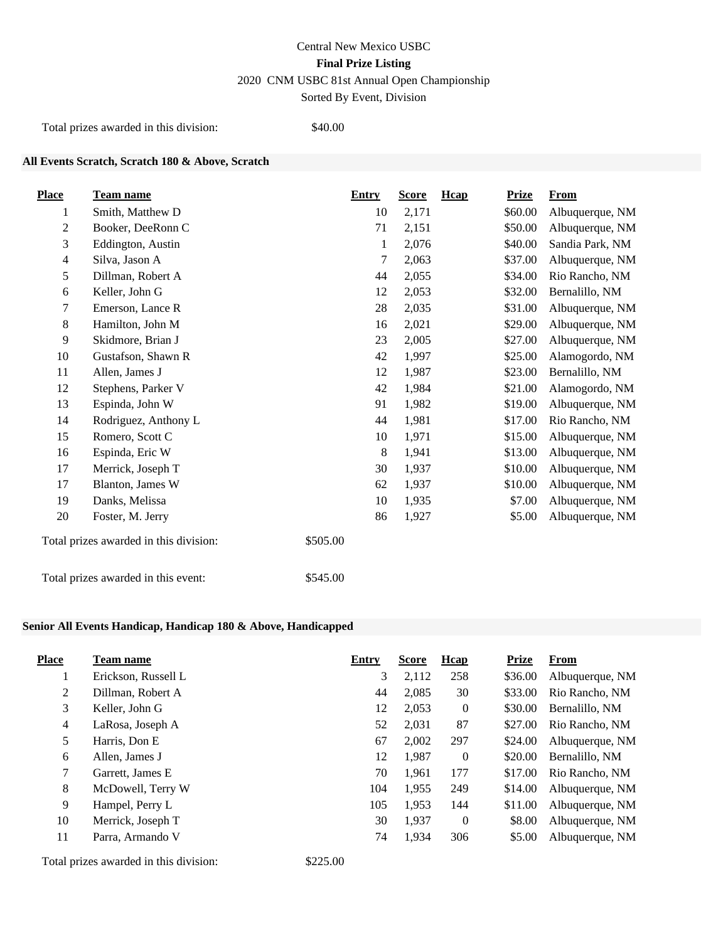Total prizes awarded in this division: \$40.00

## **All Events Scratch, Scratch 180 & Above, Scratch**

| <b>Place</b>   | <u>Team name</u>                                   | <b>Entry</b> | <b>Score</b> | Hcap | <b>Prize</b> | <b>From</b>     |
|----------------|----------------------------------------------------|--------------|--------------|------|--------------|-----------------|
| 1              | Smith, Matthew D                                   | 10           | 2,171        |      | \$60.00      | Albuquerque, NM |
| $\overline{2}$ | Booker, DeeRonn C                                  | 71           | 2,151        |      | \$50.00      | Albuquerque, NM |
| 3              | Eddington, Austin                                  | 1            | 2,076        |      | \$40.00      | Sandia Park, NM |
| $\overline{4}$ | Silva, Jason A                                     | 7            | 2,063        |      | \$37.00      | Albuquerque, NM |
| 5              | Dillman, Robert A                                  | 44           | 2,055        |      | \$34.00      | Rio Rancho, NM  |
| 6              | Keller, John G                                     | 12           | 2,053        |      | \$32.00      | Bernalillo, NM  |
| 7              | Emerson, Lance R                                   | 28           | 2,035        |      | \$31.00      | Albuquerque, NM |
| 8              | Hamilton, John M                                   | 16           | 2,021        |      | \$29.00      | Albuquerque, NM |
| 9              | Skidmore, Brian J                                  | 23           | 2,005        |      | \$27.00      | Albuquerque, NM |
| 10             | Gustafson, Shawn R                                 | 42           | 1,997        |      | \$25.00      | Alamogordo, NM  |
| 11             | Allen, James J                                     | 12           | 1,987        |      | \$23.00      | Bernalillo, NM  |
| 12             | Stephens, Parker V                                 | 42           | 1,984        |      | \$21.00      | Alamogordo, NM  |
| 13             | Espinda, John W                                    | 91           | 1,982        |      | \$19.00      | Albuquerque, NM |
| 14             | Rodriguez, Anthony L                               | 44           | 1,981        |      | \$17.00      | Rio Rancho, NM  |
| 15             | Romero, Scott C                                    | 10           | 1,971        |      | \$15.00      | Albuquerque, NM |
| 16             | Espinda, Eric W                                    | 8            | 1,941        |      | \$13.00      | Albuquerque, NM |
| 17             | Merrick, Joseph T                                  | 30           | 1,937        |      | \$10.00      | Albuquerque, NM |
| 17             | Blanton, James W                                   | 62           | 1,937        |      | \$10.00      | Albuquerque, NM |
| 19             | Danks, Melissa                                     | 10           | 1,935        |      | \$7.00       | Albuquerque, NM |
| 20             | Foster, M. Jerry                                   | 86           | 1,927        |      | \$5.00       | Albuquerque, NM |
|                | \$505.00<br>Total prizes awarded in this division: |              |              |      |              |                 |
|                | \$545.00<br>Total prizes awarded in this event:    |              |              |      |              |                 |

## **Senior All Events Handicap, Handicap 180 & Above, Handicapped**

| <b>Place</b>   | Team name           | Entry | <b>Score</b> | <b>H</b> cap   | <b>Prize</b> | From            |
|----------------|---------------------|-------|--------------|----------------|--------------|-----------------|
|                | Erickson, Russell L | 3     | 2,112        | 258            | \$36.00      | Albuquerque, NM |
| $\overline{2}$ | Dillman, Robert A   | 44    | 2,085        | 30             | \$33.00      | Rio Rancho, NM  |
| 3              | Keller, John G      | 12    | 2,053        | $\overline{0}$ | \$30.00      | Bernalillo, NM  |
| $\overline{4}$ | LaRosa, Joseph A    | 52    | 2,031        | 87             | \$27.00      | Rio Rancho, NM  |
| 5              | Harris, Don E       | 67    | 2,002        | 297            | \$24.00      | Albuquerque, NM |
| 6              | Allen, James J      | 12    | 1,987        | $\overline{0}$ | \$20.00      | Bernalillo. NM  |
| $\tau$         | Garrett, James E    | 70    | 1,961        | 177            | \$17.00      | Rio Rancho, NM  |
| 8              | McDowell, Terry W   | 104   | 1,955        | 249            | \$14.00      | Albuquerque, NM |
| 9              | Hampel, Perry L     | 105   | 1,953        | 144            | \$11.00      | Albuquerque, NM |
| 10             | Merrick, Joseph T   | 30    | 1.937        | $\overline{0}$ | \$8.00       | Albuquerque, NM |
| 11             | Parra, Armando V    | 74    | 1,934        | 306            | \$5.00       | Albuquerque, NM |

Total prizes awarded in this division: \$225.00